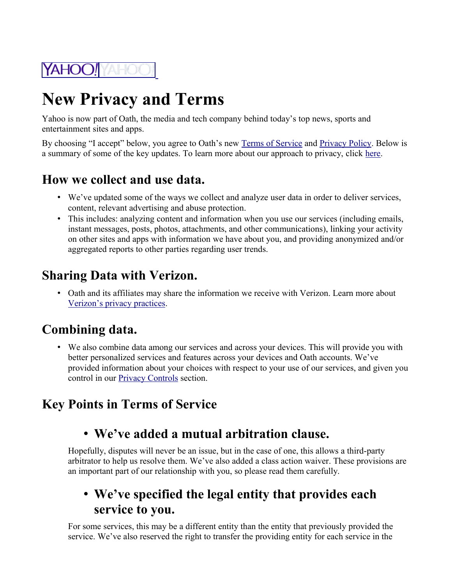

# **New Privacy and Terms**

Yahoo is now part of Oath, the media and tech company behind today's top news, sports and entertainment sites and apps.

By choosing "I accept" below, you agree to Oath's new [Terms of Service](https://guce.oath.com/redirect?to=https://policies.oath.com/us/en/oath/terms/otos/index.html&brandDomain=mg.mail.yahoo.com&brandId=dcgdaq9dodq2s&tos=nonEu&step=noneu_reg_step1&sessionId=1_cc-session_875bbb20-c122-44d2-81a6-8ab26933a760&userType=REG) and [Privacy Policy.](https://guce.oath.com/redirect?to=https://policies.oath.com/us/en/oath/privacy/index.html&brandDomain=mg.mail.yahoo.com&brandId=dcgdaq9dodq2s&tos=nonEu&step=noneu_reg_step1&sessionId=1_cc-session_875bbb20-c122-44d2-81a6-8ab26933a760&userType=REG) Below is a summary of some of the key updates. To learn more about our approach to privacy, click [here.](https://guce.oath.com/redirect?to=https%3A%2F%2Fmydata.oath.com&brandDomain=mg.mail.yahoo.com&brandId=dcgdaq9dodq2s&tos=nonEu&step=noneu_reg_step1&sessionId=1_cc-session_875bbb20-c122-44d2-81a6-8ab26933a760&userType=REG)

#### **How we collect and use data.**

- We've updated some of the ways we collect and analyze user data in order to deliver services, content, relevant advertising and abuse protection.
- This includes: analyzing content and information when you use our services (including emails, instant messages, posts, photos, attachments, and other communications), linking your activity on other sites and apps with information we have about you, and providing anonymized and/or aggregated reports to other parties regarding user trends.

#### **Sharing Data with Verizon.**

• Oath and its affiliates may share the information we receive with Verizon. Learn more about [Verizon's privacy practices.](https://guce.oath.com/redirect?to=http%3A%2F%2Fwww.verizon.com%2Fabout%2Fprivacy%2Fprivacy-policy-summary&brandDomain=mg.mail.yahoo.com&brandId=dcgdaq9dodq2s&tos=nonEu&step=noneu_reg_step1&sessionId=1_cc-session_875bbb20-c122-44d2-81a6-8ab26933a760&userType=REG)

### **Combining data.**

• We also combine data among our services and across your devices. This will provide you with better personalized services and features across your devices and Oath accounts. We've provided information about your choices with respect to your use of our services, and given you control in our [Privacy Controls](https://guce.oath.com/redirect?to=https://policies.oath.com/us/en/oath/privacy/controls/index.html&brandDomain=mg.mail.yahoo.com&brandId=dcgdaq9dodq2s&tos=nonEu&step=noneu_reg_step1&sessionId=1_cc-session_875bbb20-c122-44d2-81a6-8ab26933a760&userType=REG) section.

# **Key Points in Terms of Service**

### • **We've added a mutual arbitration clause.**

Hopefully, disputes will never be an issue, but in the case of one, this allows a third-party arbitrator to help us resolve them. We've also added a class action waiver. These provisions are an important part of our relationship with you, so please read them carefully.

#### • **We've specified the legal entity that provides each service to you.**

For some services, this may be a different entity than the entity that previously provided the service. We've also reserved the right to transfer the providing entity for each service in the